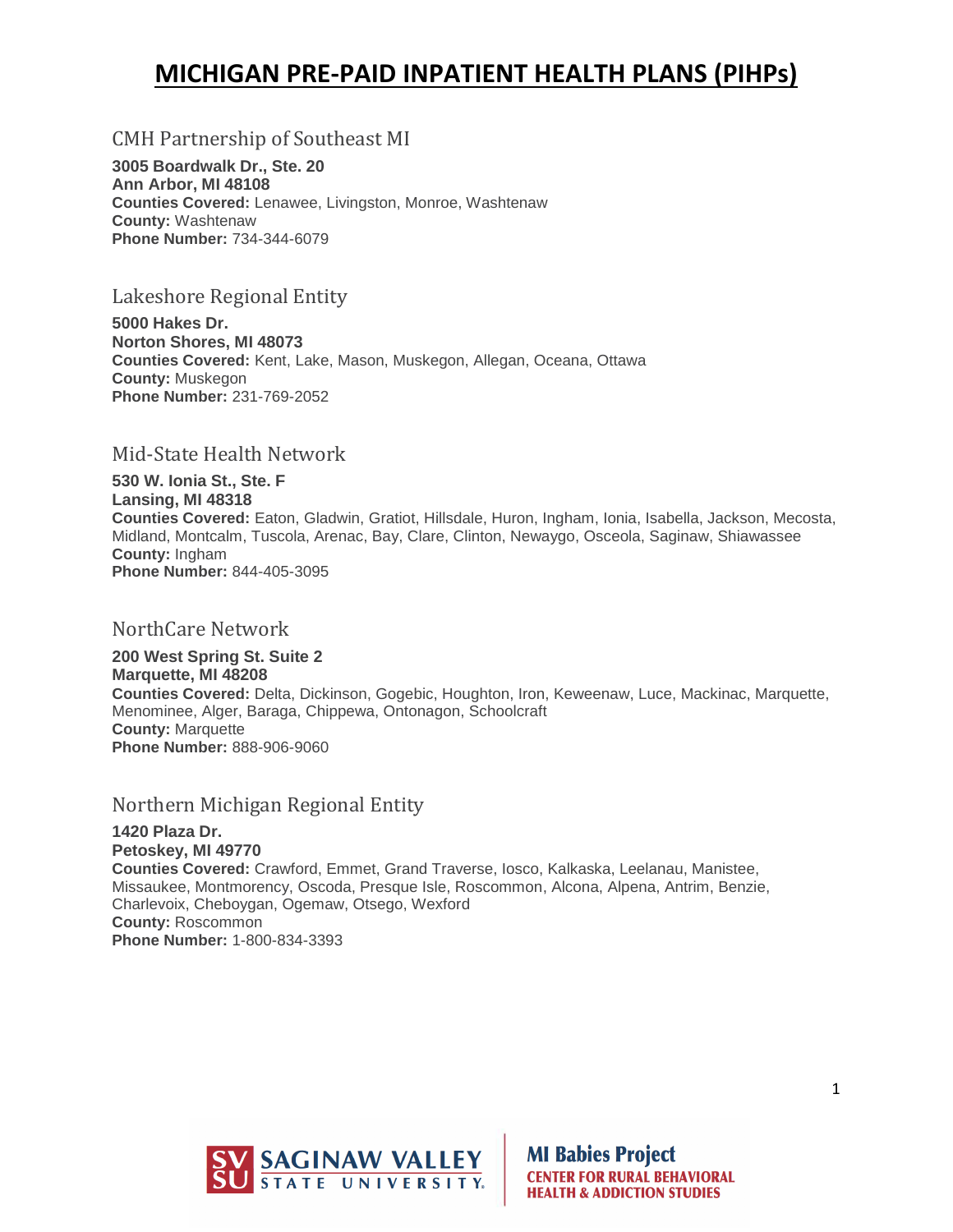## **MICHIGAN PRE-PAID INPATIENT HEALTH PLANS (PIHPs)**

## CMH Partnership of Southeast MI

**3005 Boardwalk Dr., Ste. 20 Ann Arbor, MI 48108 Counties Covered:** Lenawee, Livingston, Monroe, Washtenaw **County:** Washtenaw **Phone Number:** 734-344-6079

#### Lakeshore Regional Entity

**5000 Hakes Dr. Norton Shores, MI 48073 Counties Covered:** Kent, Lake, Mason, Muskegon, Allegan, Oceana, Ottawa **County:** Muskegon **Phone Number:** 231-769-2052

#### Mid-State Health Network

**530 W. Ionia St., Ste. F Lansing, MI 48318 Counties Covered:** Eaton, Gladwin, Gratiot, Hillsdale, Huron, Ingham, Ionia, Isabella, Jackson, Mecosta, Midland, Montcalm, Tuscola, Arenac, Bay, Clare, Clinton, Newaygo, Osceola, Saginaw, Shiawassee **County:** Ingham **Phone Number:** 844-405-3095

#### NorthCare Network

**200 West Spring St. Suite 2 Marquette, MI 48208 Counties Covered:** Delta, Dickinson, Gogebic, Houghton, Iron, Keweenaw, Luce, Mackinac, Marquette, Menominee, Alger, Baraga, Chippewa, Ontonagon, Schoolcraft **County:** Marquette **Phone Number:** 888-906-9060

## Northern Michigan Regional Entity

**1420 Plaza Dr. Petoskey, MI 49770 Counties Covered:** Crawford, Emmet, Grand Traverse, Iosco, Kalkaska, Leelanau, Manistee, Missaukee, Montmorency, Oscoda, Presque Isle, Roscommon, Alcona, Alpena, Antrim, Benzie, Charlevoix, Cheboygan, Ogemaw, Otsego, Wexford **County:** Roscommon **Phone Number:** 1-800-834-3393